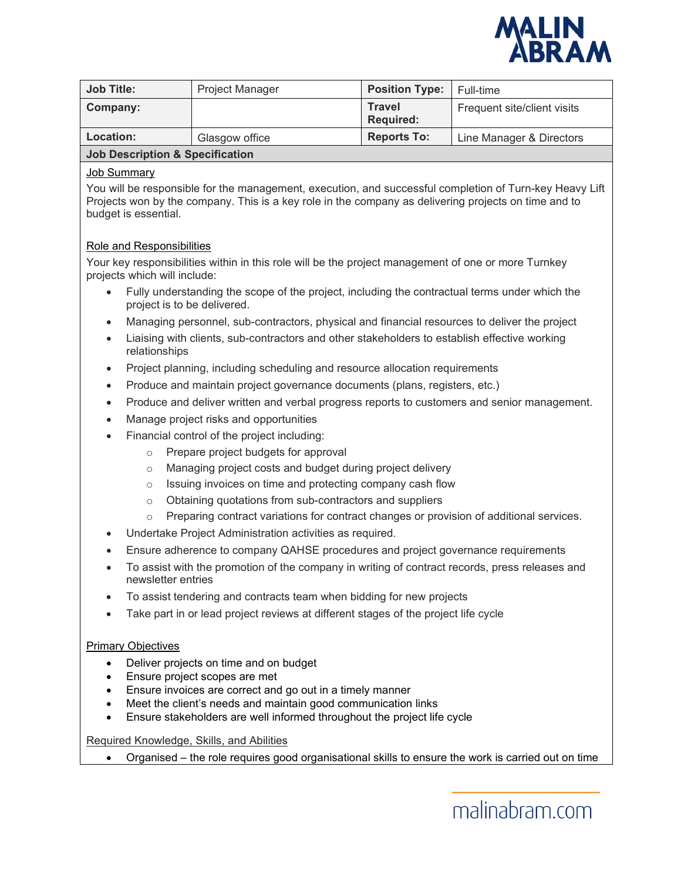

| <b>Job Title:</b>                          | <b>Project Manager</b> | <b>Position Type:</b>             | Full-time                   |
|--------------------------------------------|------------------------|-----------------------------------|-----------------------------|
| Company:                                   |                        | <b>Travel</b><br><b>Required:</b> | Frequent site/client visits |
| Location:                                  | Glasgow office         | <b>Reports To:</b>                | Line Manager & Directors    |
| <b>Job Description &amp; Specification</b> |                        |                                   |                             |

### Job Summary

You will be responsible for the management, execution, and successful completion of Turn-key Heavy Lift Projects won by the company. This is a key role in the company as delivering projects on time and to budget is essential.

### Role and Responsibilities

Your key responsibilities within in this role will be the project management of one or more Turnkey projects which will include:

- Fully understanding the scope of the project, including the contractual terms under which the project is to be delivered.
- Managing personnel, sub-contractors, physical and financial resources to deliver the project
- Liaising with clients, sub-contractors and other stakeholders to establish effective working relationships
- Project planning, including scheduling and resource allocation requirements
- Produce and maintain project governance documents (plans, registers, etc.)
- Produce and deliver written and verbal progress reports to customers and senior management.
- Manage project risks and opportunities
- Financial control of the project including:
	- o Prepare project budgets for approval
	- o Managing project costs and budget during project delivery
	- o Issuing invoices on time and protecting company cash flow
	- o Obtaining quotations from sub-contractors and suppliers
	- o Preparing contract variations for contract changes or provision of additional services.
- Undertake Project Administration activities as required.
- Ensure adherence to company QAHSE procedures and project governance requirements
- To assist with the promotion of the company in writing of contract records, press releases and newsletter entries
- To assist tendering and contracts team when bidding for new projects
- Take part in or lead project reviews at different stages of the project life cycle

#### Primary Objectives

- Deliver projects on time and on budget
- Ensure project scopes are met
- Ensure invoices are correct and go out in a timely manner
- Meet the client's needs and maintain good communication links
- Ensure stakeholders are well informed throughout the project life cycle

Required Knowledge, Skills, and Abilities

• Organised – the role requires good organisational skills to ensure the work is carried out on time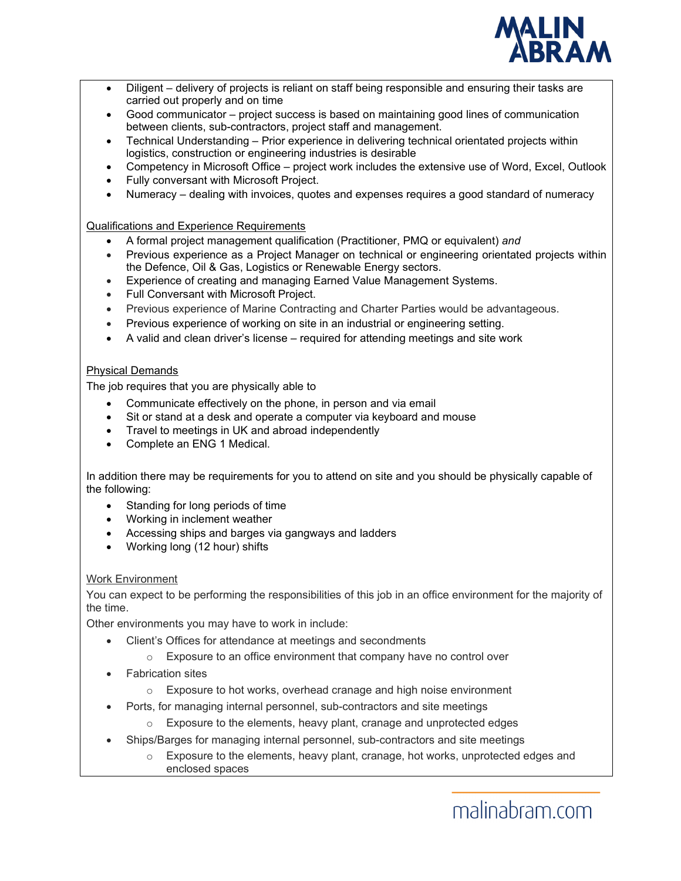

- Diligent delivery of projects is reliant on staff being responsible and ensuring their tasks are carried out properly and on time
- Good communicator project success is based on maintaining good lines of communication between clients, sub-contractors, project staff and management.
- Technical Understanding Prior experience in delivering technical orientated projects within logistics, construction or engineering industries is desirable
- Competency in Microsoft Office project work includes the extensive use of Word, Excel, Outlook
- Fully conversant with Microsoft Project.
- Numeracy dealing with invoices, quotes and expenses requires a good standard of numeracy

Qualifications and Experience Requirements

- A formal project management qualification (Practitioner, PMQ or equivalent) *and*
- Previous experience as a Project Manager on technical or engineering orientated projects within the Defence, Oil & Gas, Logistics or Renewable Energy sectors.
- Experience of creating and managing Earned Value Management Systems.
- Full Conversant with Microsoft Project.
- Previous experience of Marine Contracting and Charter Parties would be advantageous.
- Previous experience of working on site in an industrial or engineering setting.
- A valid and clean driver's license required for attending meetings and site work

# Physical Demands

The job requires that you are physically able to

- Communicate effectively on the phone, in person and via email
- Sit or stand at a desk and operate a computer via keyboard and mouse
- Travel to meetings in UK and abroad independently
- Complete an ENG 1 Medical.

In addition there may be requirements for you to attend on site and you should be physically capable of the following:

- Standing for long periods of time
- Working in inclement weather
- Accessing ships and barges via gangways and ladders
- Working long (12 hour) shifts

# Work Environment

You can expect to be performing the responsibilities of this job in an office environment for the majority of the time.

Other environments you may have to work in include:

- Client's Offices for attendance at meetings and secondments
	- o Exposure to an office environment that company have no control over
- **Fabrication sites** 
	- o Exposure to hot works, overhead cranage and high noise environment
- Ports, for managing internal personnel, sub-contractors and site meetings
	- o Exposure to the elements, heavy plant, cranage and unprotected edges
- Ships/Barges for managing internal personnel, sub-contractors and site meetings
	- $\circ$  Exposure to the elements, heavy plant, cranage, hot works, unprotected edges and enclosed spaces